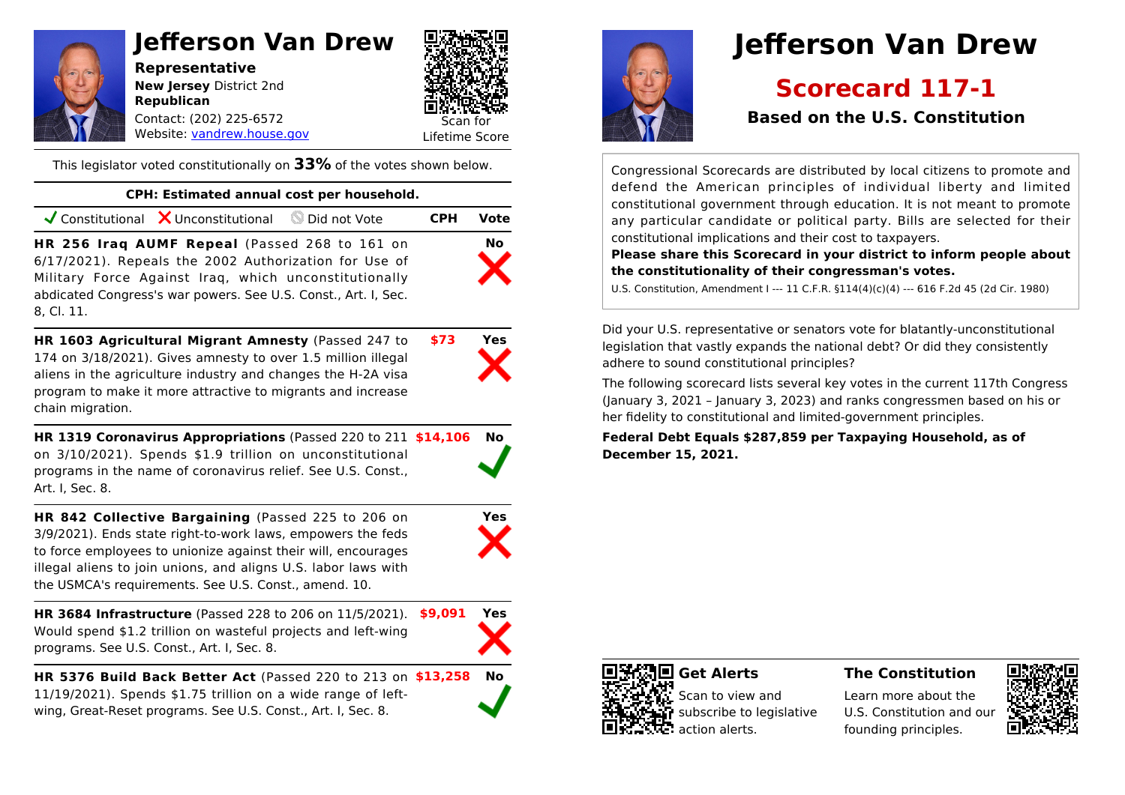# **Jefferson Van Drew**

**Representative New Jersey** District 2nd **Republican** Contact: (202) 225-6572



Website: [vandrew.house.gov](https://vandrew.house.gov)

This legislator voted constitutionally on **33%** of the votes shown below.

### **CPH: Estimated annual cost per household.**

|                                                                                                                                                                                                                                                 | $\checkmark$ Constitutional $\checkmark$ Unconstitutional $\checkcirc$ Did not Vote |  | <b>CPH</b> | Vote      |
|-------------------------------------------------------------------------------------------------------------------------------------------------------------------------------------------------------------------------------------------------|-------------------------------------------------------------------------------------|--|------------|-----------|
| HR 256 Iraq AUMF Repeal (Passed 268 to 161 on<br>6/17/2021). Repeals the 2002 Authorization for Use of<br>Military Force Against Iraq, which unconstitutionally<br>abdicated Congress's war powers. See U.S. Const., Art. I, Sec.<br>8. Cl. 11. |                                                                                     |  |            | <b>No</b> |

**HR 1603 Agricultural Migrant Amnesty** (Passed 247 to **\$73 Yes** 174 on 3/18/2021). Gives amnesty to over 1.5 million illegal aliens in the agriculture industry and changes the H-2A visa program to make it more attractive to migrants and increase chain migration.

**HR 1319 Coronavirus Appropriations** (Passed 220 to 211 **\$14,106 No** on 3/10/2021). Spends \$1.9 trillion on unconstitutional programs in the name of coronavirus relief. See U.S. Const., Art. I, Sec. 8.



**HR 3684 Infrastructure** (Passed 228 to 206 on 11/5/2021). **\$9,091 Yes** Would spend \$1.2 trillion on wasteful projects and left-wing programs. See U.S. Const., Art. I, Sec. 8.



**HR 5376 Build Back Better Act** (Passed 220 to 213 on **\$13,258 No** 11/19/2021). Spends \$1.75 trillion on a wide range of leftwing, Great-Reset programs. See U.S. Const., Art. I, Sec. 8.



# **Jefferson Van Drew**

# **Scorecard 117-1**

# **Based on the U.S. Constitution**

Congressional Scorecards are distributed by local citizens to promote and defend the American principles of individual liberty and limited constitutional government through education. It is not meant to promote any particular candidate or political party. Bills are selected for their constitutional implications and their cost to taxpayers.

**Please share this Scorecard in your district to inform people about the constitutionality of their congressman's votes.**

U.S. Constitution, Amendment I --- 11 C.F.R. §114(4)(c)(4) --- 616 F.2d 45 (2d Cir. 1980)

Did your U.S. representative or senators vote for blatantly-unconstitutional legislation that vastly expands the national debt? Or did they consistently adhere to sound constitutional principles?

The following scorecard lists several key votes in the current 117th Congress (January 3, 2021 – January 3, 2023) and ranks congressmen based on his or her fidelity to constitutional and limited-government principles.

**Federal Debt Equals \$287,859 per Taxpaying Household, as of December 15, 2021.**



## **The Constitution**

Learn more about the U.S. Constitution and our founding principles.